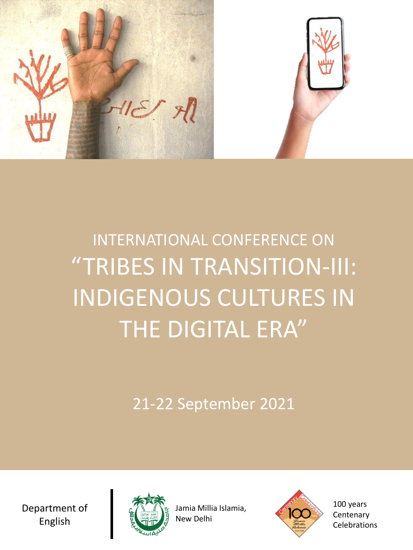

# INTERNATIONAL CONFERENCE ON "TRIBES IN TRANSITION-III: INDIGENOUS CULTURES IN THE DIGITAL ERA"

21-22 September 2021

Department of English



Jamia Millia Islamia, New Delhi



100 years **Centenary Celebrations**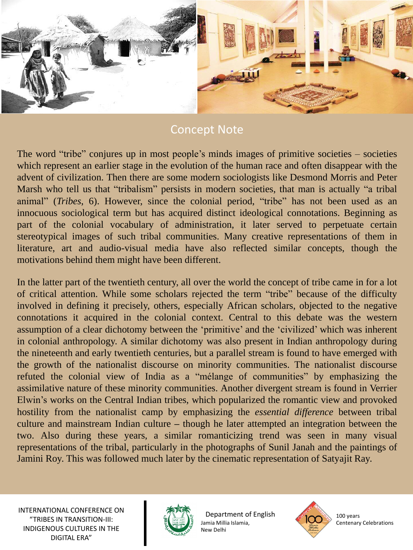

## Concept Note

The word "tribe" conjures up in most people's minds images of primitive societies – societies which represent an earlier stage in the evolution of the human race and often disappear with the advent of civilization. Then there are some modern sociologists like Desmond Morris and Peter Marsh who tell us that "tribalism" persists in modern societies, that man is actually "a tribal animal" (*Tribes*, 6). However, since the colonial period, "tribe" has not been used as an innocuous sociological term but has acquired distinct ideological connotations. Beginning as part of the colonial vocabulary of administration, it later served to perpetuate certain stereotypical images of such tribal communities. Many creative representations of them in literature, art and audio-visual media have also reflected similar concepts, though the motivations behind them might have been different.

In the latter part of the twentieth century, all over the world the concept of tribe came in for a lot of critical attention. While some scholars rejected the term "tribe" because of the difficulty involved in defining it precisely, others, especially African scholars, objected to the negative connotations it acquired in the colonial context. Central to this debate was the western assumption of a clear dichotomy between the 'primitive' and the 'civilized' which was inherent in colonial anthropology. A similar dichotomy was also present in Indian anthropology during the nineteenth and early twentieth centuries, but a parallel stream is found to have emerged with the growth of the nationalist discourse on minority communities. The nationalist discourse refuted the colonial view of India as a "mélange of communities" by emphasizing the assimilative nature of these minority communities. Another divergent stream is found in Verrier Elwin's works on the Central Indian tribes, which popularized the romantic view and provoked hostility from the nationalist camp by emphasizing the *essential difference* between tribal culture and mainstream Indian culture *–* though he later attempted an integration between the two. Also during these years, a similar romanticizing trend was seen in many visual representations of the tribal, particularly in the photographs of Sunil Janah and the paintings of Jamini Roy. This was followed much later by the cinematic representation of Satyajit Ray.



Department of English Jamia Millia Islamia, New Delhi



100 years Centenary Celebrations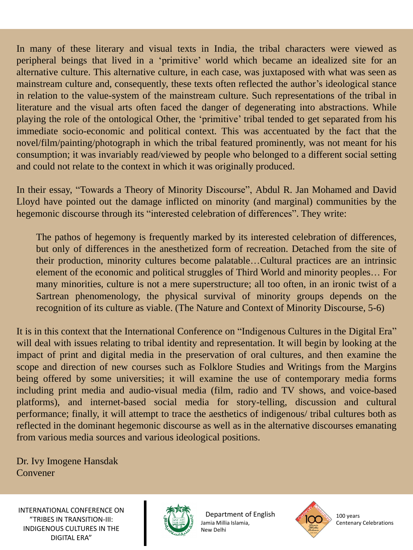In many of these literary and visual texts in India, the tribal characters were viewed as peripheral beings that lived in a 'primitive' world which became an idealized site for an alternative culture. This alternative culture, in each case, was juxtaposed with what was seen as mainstream culture and, consequently, these texts often reflected the author's ideological stance in relation to the value-system of the mainstream culture. Such representations of the tribal in literature and the visual arts often faced the danger of degenerating into abstractions. While playing the role of the ontological Other, the 'primitive' tribal tended to get separated from his immediate socio-economic and political context. This was accentuated by the fact that the novel/film/painting/photograph in which the tribal featured prominently, was not meant for his consumption; it was invariably read/viewed by people who belonged to a different social setting and could not relate to the context in which it was originally produced.

In their essay, "Towards a Theory of Minority Discourse", Abdul R. Jan Mohamed and David Lloyd have pointed out the damage inflicted on minority (and marginal) communities by the hegemonic discourse through its "interested celebration of differences". They write:

The pathos of hegemony is frequently marked by its interested celebration of differences, but only of differences in the anesthetized form of recreation. Detached from the site of their production, minority cultures become palatable…Cultural practices are an intrinsic element of the economic and political struggles of Third World and minority peoples… For many minorities, culture is not a mere superstructure; all too often, in an ironic twist of a Sartrean phenomenology, the physical survival of minority groups depends on the recognition of its culture as viable. (The Nature and Context of Minority Discourse, 5-6)

It is in this context that the International Conference on "Indigenous Cultures in the Digital Era" will deal with issues relating to tribal identity and representation. It will begin by looking at the impact of print and digital media in the preservation of oral cultures, and then examine the scope and direction of new courses such as Folklore Studies and Writings from the Margins being offered by some universities; it will examine the use of contemporary media forms including print media and audio-visual media (film, radio and TV shows, and voice-based platforms), and internet-based social media for story-telling, discussion and cultural performance; finally, it will attempt to trace the aesthetics of indigenous/ tribal cultures both as reflected in the dominant hegemonic discourse as well as in the alternative discourses emanating from various media sources and various ideological positions.

Dr. Ivy Imogene Hansdak Convener



Department of English Jamia Millia Islamia, New Delhi



100 years Centenary Celebrations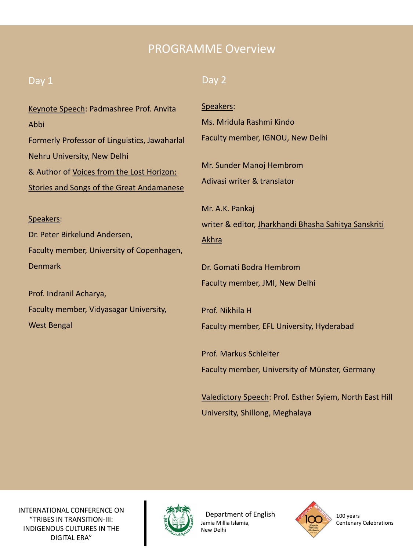## PROGRAMME Overview

#### Day 1

#### Day 2

| Keynote Speech: Padmashree Prof. Anvita                                  | Speakers:                                               |
|--------------------------------------------------------------------------|---------------------------------------------------------|
| Abbi                                                                     | Ms. Mridula Rashmi Kindo                                |
| Formerly Professor of Linguistics, Jawaharlal                            | Faculty member, IGNOU, New Delhi                        |
| Nehru University, New Delhi<br>& Author of Voices from the Lost Horizon: | Mr. Sunder Manoj Hembrom<br>Adivasi writer & translator |
| <b>Stories and Songs of the Great Andamanese</b>                         |                                                         |
|                                                                          | Mr. A.K. Pankaj                                         |
| Speakers:                                                                | writer & editor, Jharkhandi Bhasha Sahitya Sanskriti    |
| Dr. Peter Birkelund Andersen,                                            | Akhra                                                   |
| Faculty member, University of Copenhagen,                                |                                                         |
| <b>Denmark</b>                                                           | Dr. Gomati Bodra Hembrom                                |
| Prof. Indranil Acharya,                                                  | Faculty member, JMI, New Delhi                          |
| Faculty member, Vidyasagar University,                                   | Prof. Nikhila H                                         |
| <b>West Bengal</b>                                                       | Faculty member, EFL University, Hyderabad               |
|                                                                          | <b>Prof. Markus Schleiter</b>                           |
|                                                                          | Faculty member, University of Münster, Germany          |

Valedictory Speech: Prof. Esther Syiem, North East Hill University, Shillong, Meghalaya



Department of English Jamia Millia Islamia, New Delhi

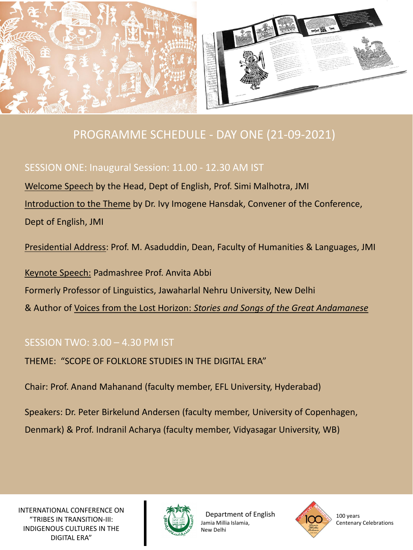

# PROGRAMME SCHEDULE - DAY ONE (21-09-2021)

#### SESSION ONE: Inaugural Session: 11.00 - 12.30 AM IST

Welcome Speech by the Head, Dept of English, Prof. Simi Malhotra, JMI Introduction to the Theme by Dr. Ivy Imogene Hansdak, Convener of the Conference, Dept of English, JMI

Presidential Address: Prof. M. Asaduddin, Dean, Faculty of Humanities & Languages, JMI

Keynote Speech: Padmashree Prof. Anvita Abbi Formerly Professor of Linguistics, Jawaharlal Nehru University, New Delhi & Author of Voices from the Lost Horizon: *Stories and Songs of the Great Andamanese*

#### SESSION TWO: 3.00 – 4.30 PM IST

THEME: "SCOPE OF FOLKLORE STUDIES IN THE DIGITAL ERA"

Chair: Prof. Anand Mahanand (faculty member, EFL University, Hyderabad)

Speakers: Dr. Peter Birkelund Andersen (faculty member, University of Copenhagen,

Denmark) & Prof. Indranil Acharya (faculty member, Vidyasagar University, WB)



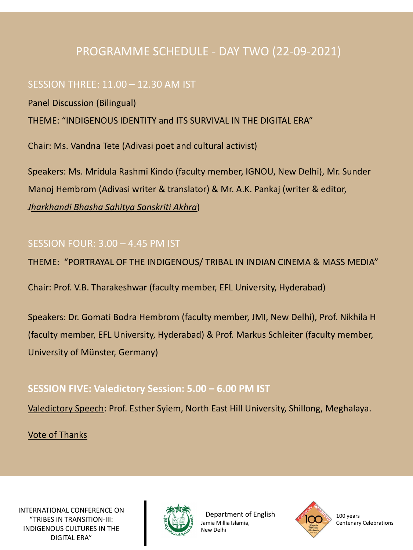# PROGRAMME SCHEDULE - DAY TWO (22-09-2021)

#### SESSION THREE: 11.00 – 12.30 AM IST

Panel Discussion (Bilingual)

THEME: "INDIGENOUS IDENTITY and ITS SURVIVAL IN THE DIGITAL ERA"

Chair: Ms. Vandna Tete (Adivasi poet and cultural activist)

Speakers: Ms. Mridula Rashmi Kindo (faculty member, IGNOU, New Delhi), Mr. Sunder Manoj Hembrom (Adivasi writer & translator) & Mr. A.K. Pankaj (writer & editor, *Jharkhandi Bhasha Sahitya Sanskriti Akhra*)

#### SESSION FOUR: 3.00 – 4.45 PM IST

THEME: "PORTRAYAL OF THE INDIGENOUS/ TRIBAL IN INDIAN CINEMA & MASS MEDIA"

Chair: Prof. V.B. Tharakeshwar (faculty member, EFL University, Hyderabad)

Speakers: Dr. Gomati Bodra Hembrom (faculty member, JMI, New Delhi), Prof. Nikhila H (faculty member, EFL University, Hyderabad) & Prof. Markus Schleiter (faculty member, University of Münster, Germany)

#### **SESSION FIVE: Valedictory Session: 5.00 – 6.00 PM IST**

Valedictory Speech: Prof. Esther Syiem, North East Hill University, Shillong, Meghalaya.

Vote of Thanks



Department of English Jamia Millia Islamia, New Delhi